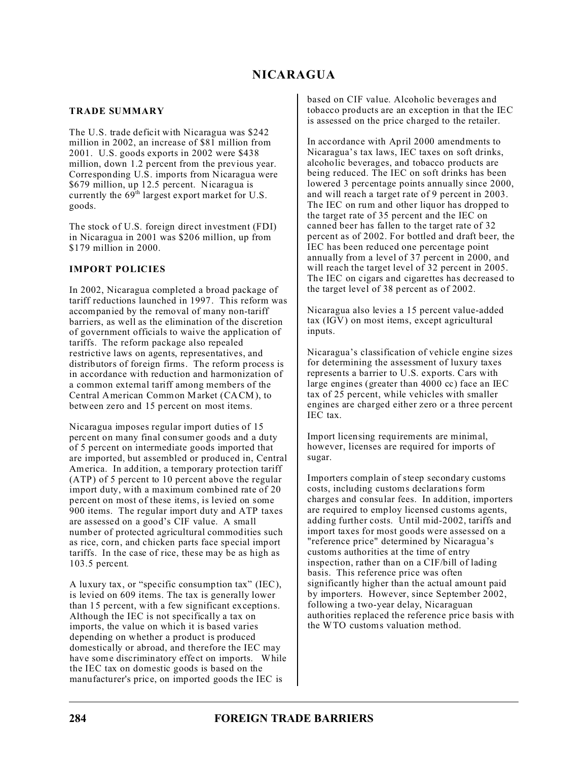# **NICARAGUA**

## **TRADE SUMMARY**

The U.S. trade deficit with Nicaragua was \$242 million in 2002, an increase of \$81 million from 2001. U.S. goods exports in 2002 were \$438 million, down 1.2 percent from the previous year. Corresponding U.S. imports from Nicaragua were \$679 million, up 12.5 percent. Nicaragua is currently the  $69<sup>th</sup>$  largest export market for U.S. goods.

The stock of U.S. foreign direct investment (FDI) in Nicaragua in 2001 was \$206 million, up from \$179 million in 2000.

## **IMPORT POLICIES**

In 2002, Nicaragua completed a broad package of tariff reductions launched in 1997. This reform was accompanied by the removal of many non-tariff barriers, as well as the elimination of the discretion of government officials to waive the application of tariffs. The reform package also repealed restrictive laws on agents, representatives, and distributors of foreign firms. The reform process is in accordance with reduction and harmonization of a common external tariff among members of the Central American Common Market (CACM), to between zero and 15 percent on most items.

Nicaragua imposes regular import duties of 15 percent on many final consumer goods and a duty of 5 percent on intermediate goods imported that are imported, but assembled or produced in, Central America. In addition, a temporary protection tariff (ATP) of 5 percent to 10 percent above the regular import duty, with a maximum combined rate of 20 percent on most of these items, is levied on some 900 items. The regular import duty and ATP taxes are assessed on a good's CIF value. A small number of protected agricultural commodities such as rice, corn, and chicken parts face special import tariffs. In the case of rice, these may be as high as 103.5 percent*.*

A luxury tax, or "specific consumption tax" (IEC), is levied on 609 items. The tax is generally lower than 15 percent, with a few significant exceptions. Although the IEC is not specifically a tax on imports, the value on which it is based varies depending on whether a product is produced domestically or abroad, and therefore the IEC may have some discriminatory effect on imports. While the IEC tax on domestic goods is based on the manufacturer's price, on imported goods the IEC is

based on CIF value. Alcoholic beverages and tobacco products are an exception in that the IEC is assessed on the price charged to the retailer.

In accordance with April 2000 amendments to Nicaragua's tax laws, IEC taxes on soft drinks, alcoholic beverages, and tobacco products are being reduced. The IEC on soft drinks has been lowered 3 percentage points annually since 2000, and will reach a target rate of 9 percent in 2003. The IEC on rum and other liquor has dropped to the target rate of 35 percent and the IEC on canned beer has fallen to the target rate of 32 percent as of 2002. For bottled and draft beer, the IEC has been reduced one percentage point annually from a level of 37 percent in 2000, and will reach the target level of 32 percent in 2005. The IEC on cigars and cigarettes has decreased to the target level of 38 percent as of 2002.

Nicaragua also levies a 15 percent value-added tax (IGV) on most items, except agricultural inputs.

Nicaragua's classification of vehicle engine sizes for determining the assessment of luxury taxes represents a barrier to U.S. exports. Cars with large engines (greater than 4000 cc) face an IEC tax of 25 percent, while vehicles with smaller engines are charged either zero or a three percent IEC tax.

Import licensing requirements are minimal, however, licenses are required for imports of sugar.

Importers complain of steep secondary customs costs, including customs declarations form charges and consular fees. In addition, importers are required to employ licensed customs agents, adding further costs. Until mid-2002, tariffs and import taxes for most goods were assessed on a "reference price" determined by Nicaragua's customs authorities at the time of entry inspection, rather than on a CIF/bill of lading basis. This reference price was often significantly higher than the actual amount paid by importers. However, since September 2002, following a two-year delay, Nicaraguan authorities replaced the reference price basis with the WTO customs valuation method.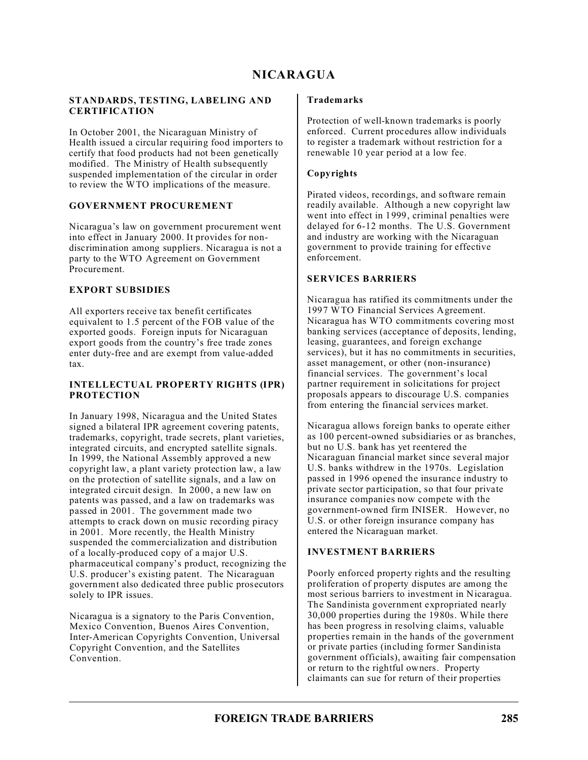# **NICARAGUA**

#### **STANDARDS, TESTING, LABELING AND CERTIFICATION**

In October 2001, the Nicaraguan Ministry of Health issued a circular requiring food importers to certify that food products had not been genetically modified. The Ministry of Health subsequently suspended implementation of the circular in order to review the WTO implications of the measure.

### **GOVERNMENT PROCUREMENT**

Nicaragua's law on government procurement went into effect in January 2000. It provides for nondiscrimination among suppliers. Nicaragua is not a party to the WTO Agreement on Government Procurement.

#### **EXPORT SUBSIDIES**

All exporters receive tax benefit certificates equivalent to 1.5 percent of the FOB value of the exported goods. Foreign inputs for Nicaraguan export goods from the country's free trade zones enter duty-free and are exempt from value-added tax.

#### **INTELLECTUAL PROPERTY RIGHTS (IPR) PROTECTION**

In January 1998, Nicaragua and the United States signed a bilateral IPR agreement covering patents, trademarks, copyright, trade secrets, plant varieties, integrated circuits, and encrypted satellite signals. In 1999, the National Assembly approved a new copyright law, a plant variety protection law, a law on the protection of satellite signals, and a law on integrated circuit design. In 2000, a new law on patents was passed, and a law on trademarks was passed in 2001. The government made two attempts to crack down on music recording piracy in 2001. More recently, the Health Ministry suspended the commercialization and distribution of a locally-produced copy of a major U.S. pharmaceutical company's product, recognizing the U.S. producer's existing patent. The Nicaraguan government also dedicated three public prosecutors solely to IPR issues.

Nicaragua is a signatory to the Paris Convention, Mexico Convention, Buenos Aires Convention, Inter-American Copyrights Convention, Universal Copyright Convention, and the Satellites Convention.

#### **Trademarks**

Protection of well-known trademarks is poorly enforced. Current procedures allow individuals to register a trademark without restriction for a renewable 10 year period at a low fee.

### **Copyrights**

Pirated videos, recordings, and software remain readily available. Although a new copyright law went into effect in 1999, criminal penalties were delayed for  $6-12$  months. The U.S. Government and industry are working with the Nicaraguan government to provide training for effective enforcement.

#### **SERVICES BARRIERS**

Nicaragua has ratified its commitments under the 1997 WTO Financial Services Agreement. Nicaragua has WTO commitments covering most banking services (acceptance of deposits, lending, leasing, guarantees, and foreign exchange services), but it has no commitments in securities, asset management, or other (non-insurance) financial services. The government's local partner requirement in solicitations for project proposals appears to discourage U.S. companies from entering the financial services market.

Nicaragua allows foreign banks to operate either as 100 percent-owned subsidiaries or as branches, but no U.S. bank has yet reentered the Nicaraguan financial market since several major U.S. banks withdrew in the 1970s. Legislation passed in 1996 opened the insurance industry to private sector participation, so that four private insurance companies now compete with the government-owned firm INISER. However, no U.S. or other foreign insurance company has entered the Nicaraguan market.

#### **INVESTMENT BARRIERS**

Poorly enforced property rights and the resulting proliferation of property disputes are among the most serious barriers to investment in Nicaragua. The Sandinista government expropriated nearly 30,000 properties during the 1980s. While there has been progress in resolving claims, valuable properties remain in the hands of the government or private parties (including former Sandinista government officials), awaiting fair compensation or return to the rightful owners. Property claimants can sue for return of their properties